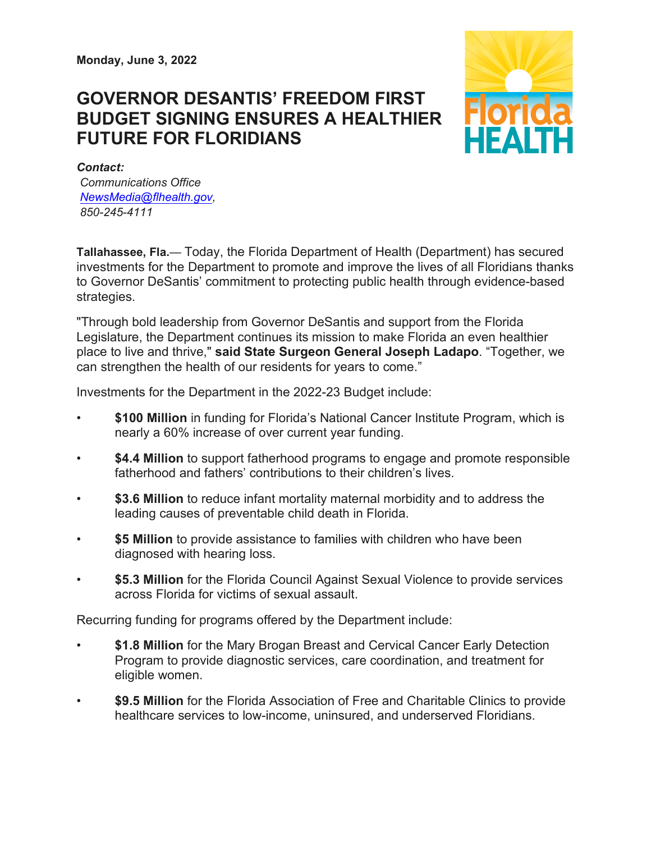## **GOVERNOR DESANTIS' FREEDOM FIRST BUDGET SIGNING ENSURES A HEALTHIER FUTURE FOR FLORIDIANS**



*Contact: Communications Office [NewsMedia@flhealth.gov,](mailto:NewsMedia@flhealth.gov) 850-245-4111*

**Tallahassee, Fla.**— Today, the Florida Department of Health (Department) has secured investments for the Department to promote and improve the lives of all Floridians thanks to Governor DeSantis' commitment to protecting public health through evidence-based strategies.

"Through bold leadership from Governor DeSantis and support from the Florida Legislature, the Department continues its mission to make Florida an even healthier place to live and thrive," **said State Surgeon General Joseph Ladapo**. "Together, we can strengthen the health of our residents for years to come."

Investments for the Department in the 2022-23 Budget include:

- \$100 Million in funding for Florida's National Cancer Institute Program, which is nearly a 60% increase of over current year funding.
- **\$4.4 Million** to support fatherhood programs to engage and promote responsible fatherhood and fathers' contributions to their children's lives.
- \$3.6 Million to reduce infant mortality maternal morbidity and to address the leading causes of preventable child death in Florida.
- \$5 Million to provide assistance to families with children who have been diagnosed with hearing loss.
- **\$5.3 Million** for the Florida Council Against Sexual Violence to provide services across Florida for victims of sexual assault.

Recurring funding for programs offered by the Department include:

- **\$1.8 Million** for the Mary Brogan Breast and Cervical Cancer Early Detection Program to provide diagnostic services, care coordination, and treatment for eligible women.
- **\$9.5 Million** for the Florida Association of Free and Charitable Clinics to provide healthcare services to low-income, uninsured, and underserved Floridians.